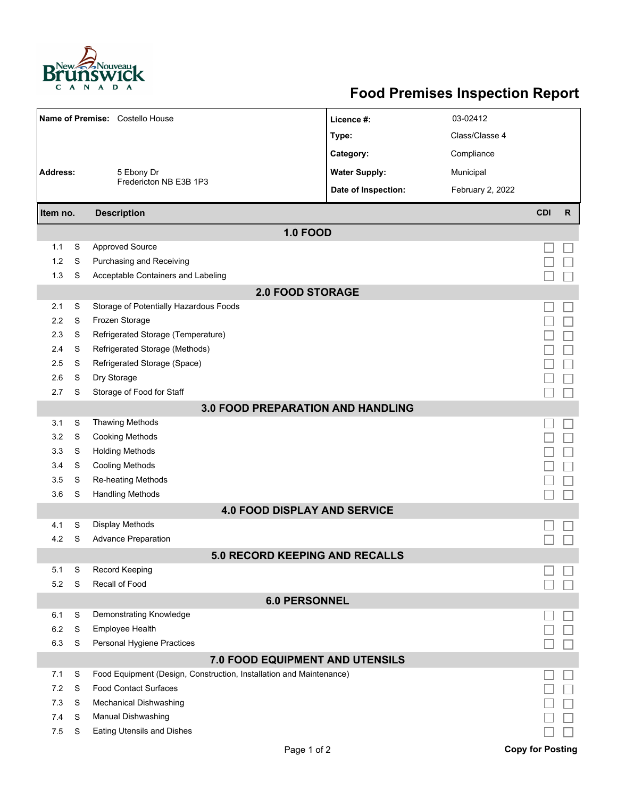

## **Food Premises Inspection Report**

| Name of Premise: Costello House          |                                 |                                                                     | Licence #:           | 03-02412         |                         |              |  |  |  |  |
|------------------------------------------|---------------------------------|---------------------------------------------------------------------|----------------------|------------------|-------------------------|--------------|--|--|--|--|
|                                          |                                 |                                                                     | Type:                | Class/Classe 4   |                         |              |  |  |  |  |
|                                          |                                 |                                                                     | Category:            | Compliance       |                         |              |  |  |  |  |
| <b>Address:</b>                          |                                 | 5 Ebony Dr<br>Fredericton NB E3B 1P3                                | <b>Water Supply:</b> | Municipal        |                         |              |  |  |  |  |
|                                          |                                 |                                                                     | Date of Inspection:  | February 2, 2022 |                         |              |  |  |  |  |
|                                          |                                 |                                                                     |                      |                  |                         |              |  |  |  |  |
| Item no.                                 |                                 | <b>Description</b>                                                  |                      |                  | <b>CDI</b>              | $\mathsf{R}$ |  |  |  |  |
|                                          |                                 | <b>1.0 FOOD</b>                                                     |                      |                  |                         |              |  |  |  |  |
| 1.1                                      | S                               | <b>Approved Source</b>                                              |                      |                  |                         |              |  |  |  |  |
| 1.2                                      | S                               | Purchasing and Receiving                                            |                      |                  |                         |              |  |  |  |  |
| 1.3                                      | S                               | Acceptable Containers and Labeling                                  |                      |                  |                         |              |  |  |  |  |
| <b>2.0 FOOD STORAGE</b>                  |                                 |                                                                     |                      |                  |                         |              |  |  |  |  |
| 2.1                                      | S                               | Storage of Potentially Hazardous Foods                              |                      |                  |                         |              |  |  |  |  |
| 2.2                                      | S                               | Frozen Storage                                                      |                      |                  |                         |              |  |  |  |  |
| 2.3                                      | S                               | Refrigerated Storage (Temperature)                                  |                      |                  |                         |              |  |  |  |  |
| 2.4                                      | S                               | Refrigerated Storage (Methods)                                      |                      |                  |                         |              |  |  |  |  |
| 2.5                                      | S                               | Refrigerated Storage (Space)                                        |                      |                  |                         |              |  |  |  |  |
| 2.6                                      | S                               | Dry Storage                                                         |                      |                  |                         |              |  |  |  |  |
| 2.7                                      | S                               | Storage of Food for Staff                                           |                      |                  |                         |              |  |  |  |  |
| <b>3.0 FOOD PREPARATION AND HANDLING</b> |                                 |                                                                     |                      |                  |                         |              |  |  |  |  |
| 3.1                                      | S                               | <b>Thawing Methods</b>                                              |                      |                  |                         |              |  |  |  |  |
| 3.2                                      | S                               | <b>Cooking Methods</b>                                              |                      |                  |                         |              |  |  |  |  |
| 3.3                                      | S                               | <b>Holding Methods</b>                                              |                      |                  |                         |              |  |  |  |  |
| 3.4                                      | S                               | Cooling Methods                                                     |                      |                  |                         |              |  |  |  |  |
| 3.5                                      | S                               | Re-heating Methods                                                  |                      |                  |                         |              |  |  |  |  |
| 3.6                                      | S                               | <b>Handling Methods</b>                                             |                      |                  |                         |              |  |  |  |  |
|                                          |                                 | <b>4.0 FOOD DISPLAY AND SERVICE</b>                                 |                      |                  |                         |              |  |  |  |  |
| 4.1                                      | S                               | Display Methods                                                     |                      |                  |                         |              |  |  |  |  |
| 4.2                                      | S                               | <b>Advance Preparation</b>                                          |                      |                  |                         |              |  |  |  |  |
|                                          |                                 | 5.0 RECORD KEEPING AND RECALLS                                      |                      |                  |                         |              |  |  |  |  |
| 5.1                                      | S                               | <b>Record Keeping</b>                                               |                      |                  |                         |              |  |  |  |  |
| 5.2                                      | S                               | Recall of Food                                                      |                      |                  |                         |              |  |  |  |  |
| <b>6.0 PERSONNEL</b>                     |                                 |                                                                     |                      |                  |                         |              |  |  |  |  |
| 6.1                                      | S                               | Demonstrating Knowledge                                             |                      |                  |                         |              |  |  |  |  |
| 6.2                                      | S                               | Employee Health                                                     |                      |                  |                         |              |  |  |  |  |
| 6.3                                      | S                               | Personal Hygiene Practices                                          |                      |                  |                         |              |  |  |  |  |
|                                          | 7.0 FOOD EQUIPMENT AND UTENSILS |                                                                     |                      |                  |                         |              |  |  |  |  |
| 7.1                                      | S                               | Food Equipment (Design, Construction, Installation and Maintenance) |                      |                  |                         |              |  |  |  |  |
| 7.2                                      | S                               | <b>Food Contact Surfaces</b>                                        |                      |                  |                         |              |  |  |  |  |
| 7.3                                      | S                               | Mechanical Dishwashing                                              |                      |                  |                         |              |  |  |  |  |
| 7.4                                      | S                               | Manual Dishwashing                                                  |                      |                  |                         |              |  |  |  |  |
| 7.5                                      | S                               | <b>Eating Utensils and Dishes</b>                                   |                      |                  |                         |              |  |  |  |  |
|                                          |                                 | Page 1 of 2                                                         |                      |                  | <b>Copy for Posting</b> |              |  |  |  |  |